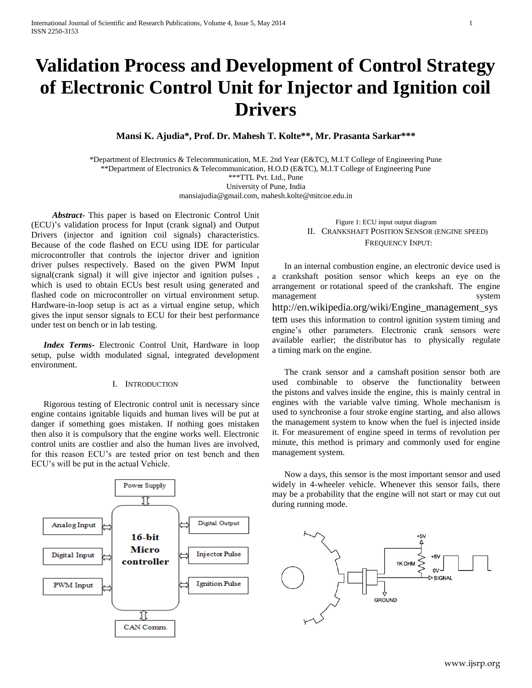# **Validation Process and Development of Control Strategy of Electronic Control Unit for Injector and Ignition coil Drivers**

**Mansi K. Ajudia\*, Prof. Dr. Mahesh T. Kolte\*\*, Mr. Prasanta Sarkar\*\*\***

\*Department of Electronics & Telecommunication, M.E. 2nd Year (E&TC), M.I.T College of Engineering Pune \*\*Department of Electronics & Telecommunication, H.O.D (E&TC), M.I.T College of Engineering Pune \*\*\*TTL Pvt. Ltd., Pune University of Pune, India [mansiajudia@gmail.com,](mailto:mansiajudia@gmail.com) mahesh.kolte@mitcoe.edu.in

 *Abstract***-** This paper is based on Electronic Control Unit (ECU)'s validation process for Input (crank signal) and Output Drivers (injector and ignition coil signals) characteristics. Because of the code flashed on ECU using IDE for particular microcontroller that controls the injector driver and ignition driver pulses respectively. Based on the given PWM Input signal(crank signal) it will give injector and ignition pulses , which is used to obtain ECUs best result using generated and flashed code on microcontroller on virtual environment setup. Hardware-in-loop setup is act as a virtual engine setup, which gives the input sensor signals to ECU for their best performance under test on bench or in lab testing.

*Index Terms***-** Electronic Control Unit, Hardware in loop setup, pulse width modulated signal, integrated development environment.

#### I. INTRODUCTION

Rigorous testing of Electronic control unit is necessary since engine contains ignitable liquids and human lives will be put at danger if something goes mistaken. If nothing goes mistaken then also it is compulsory that the engine works well. Electronic control units are costlier and also the human lives are involved, for this reason ECU's are tested prior on test bench and then ECU's will be put in the actual Vehicle.



Figure 1: ECU input output diagram II. CRANKSHAFT POSITION SENSOR (ENGINE SPEED) FREQUENCY INPUT:

In an [internal combustion engine,](http://en.wikipedia.org/wiki/Internal_combustion_engine) an electronic device used is a crankshaft position sensor which keeps an eye on the arrangement or [rotational speed](http://en.wikipedia.org/wiki/Rotational_speed) of the [crankshaft.](http://en.wikipedia.org/wiki/Crankshaft) The engine management system http://en.wikipedia.org/wiki/Engine\_management\_sys tem uses this information to control [ignition system](http://en.wikipedia.org/wiki/Ignition_system) timing and engine's other parameters. Electronic crank sensors were available earlier; the [distributor](http://en.wikipedia.org/wiki/Distributor) has to physically regulate a [timing mark](http://en.wikipedia.org/wiki/Timing_mark) on the engine.

The crank sensor and a [camshaft](http://en.wikipedia.org/wiki/Camshaft) position sensor both are used combinable to observe the functionality between the [pistons](http://en.wikipedia.org/wiki/Piston) and [valves](http://en.wikipedia.org/wiki/Tappet) inside the engine, this is mainly central in engines with the [variable valve timing.](http://en.wikipedia.org/wiki/Variable_valve_timing) Whole mechanism is used to synchronise a [four stroke](http://en.wikipedia.org/wiki/Four_stroke) engine starting, and also allows the management system to know when the fuel is injected inside it. For measurement of engine speed in terms of revolution per minute, this method is primary and commonly used for engine management system.

Now a days, this sensor is the most important sensor and used widely in 4-wheeler vehicle. Whenever this sensor fails, there may be a probability that the engine will not start or may cut out during running mode.

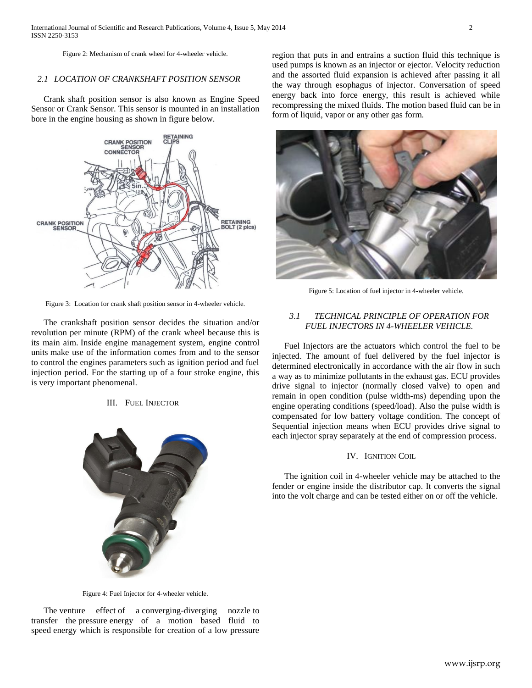Figure 2: Mechanism of crank wheel for 4-wheeler vehicle.

## *2.1 LOCATION OF CRANKSHAFT POSITION SENSOR*

Crank shaft position sensor is also known as Engine Speed Sensor or Crank Sensor. This sensor is mounted in an installation bore in the engine housing as shown in figure below.



Figure 3: Location for crank shaft position sensor in 4-wheeler vehicle.

The crankshaft position sensor decides the situation and/or revolution per minute [\(RPM\)](http://en.wikipedia.org/wiki/RPM) of the crank wheel because this is its main aim. Inside engine management system, [engine control](http://en.wikipedia.org/wiki/Engine_Control_Unit)  [units](http://en.wikipedia.org/wiki/Engine_Control_Unit) make use of the information comes from and to the sensor to control the engines parameters such as ignition period and fuel injection period. For the starting up of a four stroke engine, this is very important phenomenal.

## III. FUEL INJECTOR



region that puts in and entrains a suction fluid this technique is used pumps is known as an injector or ejector. Velocity reduction and the assorted fluid expansion is achieved after passing it all the way through esophagus of injector. Conversation of speed energy back into force energy, this result is achieved while recompressing the mixed fluids. The motion based fluid can be in form of liquid, vapor or any other gas form.



Figure 5: Location of fuel injector in 4-wheeler vehicle.

# *3.1 TECHNICAL PRINCIPLE OF OPERATION FOR FUEL INJECTORS IN 4-WHEELER VEHICLE.*

Fuel Injectors are the actuators which control the fuel to be injected. The amount of fuel delivered by the fuel injector is determined electronically in accordance with the air flow in such a way as to minimize pollutants in the exhaust gas. ECU provides drive signal to injector (normally closed valve) to open and remain in open condition (pulse width-ms) depending upon the engine operating conditions (speed/load). Also the pulse width is compensated for low battery voltage condition. The concept of Sequential injection means when ECU provides drive signal to each injector spray separately at the end of compression process.

## IV. IGNITION COIL

The ignition coil in 4-wheeler vehicle may be attached to the fender or engine inside the distributor cap. It converts the signal into the volt charge and can be tested either on or off the vehicle.

Figure 4: Fuel Injector for 4-wheeler vehicle.

The [venture](http://en.wikipedia.org/wiki/Venturi_effect) effect of a [converging-diverging nozzle](http://en.wikipedia.org/wiki/De_Laval_nozzle) to transfer the [pressure](http://en.wikipedia.org/wiki/Pressure) energy of a motion based fluid to speed energy which is responsible for creation of a low pressure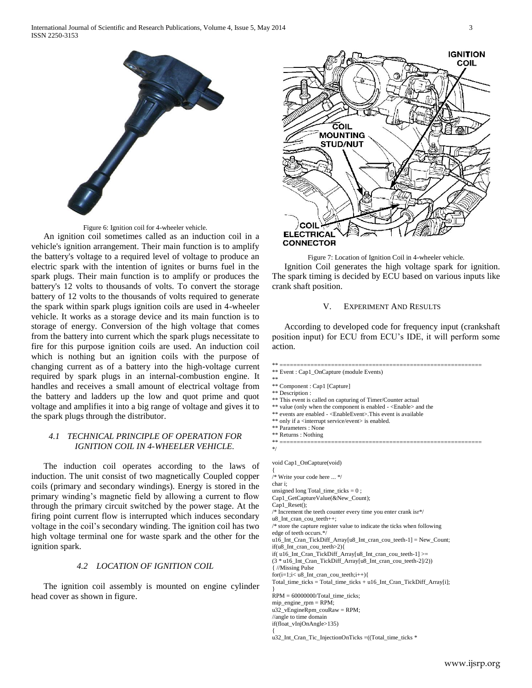

Figure 6: Ignition coil for 4-wheeler vehicle. An ignition coil sometimes called as an induction coil in a vehicle's ignition arrangement. Their main function is to amplify the battery's voltage to a required level of voltage to produce an electric spark with the intention of ignites or burns fuel in the spark plugs. Their main function is to amplify or produces the battery's 12 volts to thousands of volts. To convert the storage battery of 12 volts to the thousands of volts required to generate the spark within spark plugs ignition coils are used in 4-wheeler vehicle. It works as a storage device and its main function is to storage of energy. Conversion of the high voltage that comes from the battery into current which the spark plugs necessitate to fire for this purpose ignition coils are used. An induction coil which is nothing but an ignition coils with the purpose of changing current as of a battery into the high-voltage current

required by spark plugs in an internal-combustion engine. It handles and receives a small amount of electrical voltage from the battery and ladders up the low and quot prime and quot voltage and amplifies it into a big range of voltage and gives it to the spark plugs through the distributor.

# *4.1 TECHNICAL PRINCIPLE OF OPERATION FOR IGNITION COIL IN 4-WHEELER VEHICLE.*

The induction coil operates according to the laws of induction. The unit consist of two magnetically Coupled copper coils (primary and secondary windings). Energy is stored in the primary winding's magnetic field by allowing a current to flow through the primary circuit switched by the power stage. At the firing point current flow is interrupted which induces secondary voltage in the coil's secondary winding. The ignition coil has two high voltage terminal one for waste spark and the other for the ignition spark.

# *4.2 LOCATION OF IGNITION COIL*

The ignition coil assembly is mounted on engine cylinder head cover as shown in figure.



Figure 7: Location of Ignition Coil in 4-wheeler vehicle. Ignition Coil generates the high voltage spark for ignition. The spark timing is decided by ECU based on various inputs like crank shaft position.

## V. EXPERIMENT AND RESULTS

According to developed code for frequency input (crankshaft position input) for ECU from ECU's IDE, it will perform some action.

\*\* ===========================================================

\*\* Event : Cap1\_OnCapture (module Events) \*\* \*\* Component : Cap1 [Capture] \*\* Description : \*\* This event is called on capturing of Timer/Counter actual \*\* value (only when the component is enabled - <Enable> and the \*\* events are enabled - <EnableEvent>.This event is available \*\* only if a <interrupt service/event> is enabled. \*\* Parameters : None \*\* Returns : Nothing \*\* =========================================================== \*/ void Cap1\_OnCapture(void) { /\* Write your code here ... \*/ char i; unsigned long Total time ticks  $= 0$ ; Cap1\_GetCaptureValue(&New\_Count); Cap1\_Reset(); /\* Increment the teeth counter every time you enter crank isr\*/ u8\_Int\_cran\_cou\_teeth++; /\* store the capture register value to indicate the ticks when following edge of teeth occurs.\*/ u16\_Int\_Cran\_TickDiff\_Array[u8\_Int\_cran\_cou\_teeth-1] = New\_Count; if(u8\_Int\_cran\_cou\_teeth>2){ if( u16\_Int\_Cran\_TickDiff\_Array[u8\_Int\_cran\_cou\_teeth-1] >= (3 \* u16\_Int\_Cran\_TickDiff\_Array[u8\_Int\_cran\_cou\_teeth-2]/2)) { //Missing Pulse  $for (i=1; i< u8_Int\_cran\_cou\_teeth; i++)$ { Total\_time\_ticks = Total\_time\_ticks + u16\_Int\_Cran\_TickDiff\_Array[i]; } RPM = 60000000/Total\_time\_ticks; mip\_engine\_rpm = RPM; u32\_vEngineRpm\_couRaw = RPM; //angle to time domain if(float\_vInjOnAngle>135) {

u32\_Int\_Cran\_Tic\_InjectionOnTicks =((Total\_time\_ticks \*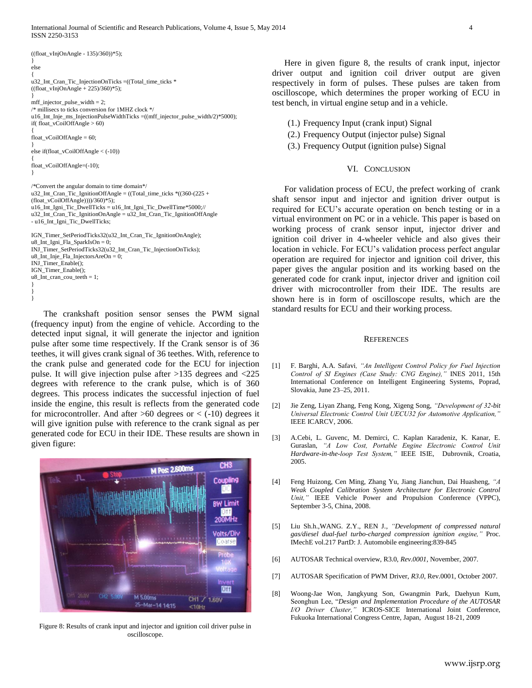International Journal of Scientific and Research Publications, Volume 4, Issue 5, May 2014 4 ISSN 2250-3153

((float\_vInjOnAngle - 135)/360))\*5); } else { u32\_Int\_Cran\_Tic\_InjectionOnTicks =((Total\_time\_ticks \* ((float\_vInjOnAngle + 225)/360)\*5); } mff\_injector\_pulse\_width = 2; /\* millisecs to ticks conversion for 1MHZ clock \*/ u16\_Int\_Inje\_ms\_InjectionPulseWidthTicks =((mff\_injector\_pulse\_width/2)\*5000); if( float\_vCoilOffAngle > 60) { float\_vCoilOffAngle = 60; } else if(float\_vCoilOffAngle < (-10)) { float\_vCoilOffAngle=(-10); } /\*Convert the angular domain to time domain\*/ u32 Int Cran Tic IgnitionOffAngle = ((Total time ticks  $*(360-(225 +$ (float\_vCoilOffAngle))))/360)\*5); u16\_Int\_Igni\_Tic\_DwellTicks = u16\_Int\_Igni\_Tic\_DwellTime\*5000;// u32\_Int\_Cran\_Tic\_IgnitionOnAngle = u32\_Int\_Cran\_Tic\_IgnitionOffAngle - u16\_Int\_Igni\_Tic\_DwellTicks; IGN\_Timer\_SetPeriodTicks32(u32\_Int\_Cran\_Tic\_IgnitionOnAngle); u8\_Int\_Igni\_Fla\_SparkIsOn = 0; INJ\_Timer\_SetPeriodTicks32(u32\_Int\_Cran\_Tic\_InjectionOnTicks); u8\_Int\_Inje\_Fla\_InjectorsAreOn = 0; INJ\_Timer\_Enable(); IGN\_Timer\_Enable(); u8\_Int\_cran\_cou\_teeth = 1;

} } }

The crankshaft position sensor senses the PWM signal (frequency input) from the engine of vehicle. According to the detected input signal, it will generate the injector and ignition pulse after some time respectively. If the Crank sensor is of 36 teethes, it will gives crank signal of 36 teethes. With, reference to the crank pulse and generated code for the ECU for injection pulse. It will give injection pulse after >135 degrees and <225 degrees with reference to the crank pulse, which is of 360 degrees. This process indicates the successful injection of fuel inside the engine, this result is reflects from the generated code for microcontroller. And after  $>60$  degrees or  $<$  (-10) degrees it will give ignition pulse with reference to the crank signal as per generated code for ECU in their IDE. These results are shown in given figure:



Figure 8: Results of crank input and injector and ignition coil driver pulse in oscilloscope.

Here in given figure 8, the results of crank input, injector driver output and ignition coil driver output are given respectively in form of pulses. These pulses are taken from oscilloscope, which determines the proper working of ECU in test bench, in virtual engine setup and in a vehicle.

(1.) Frequency Input (crank input) Signal

- (2.) Frequency Output (injector pulse) Signal
- (3.) Frequency Output (ignition pulse) Signal

#### VI. CONCLUSION

For validation process of ECU, the prefect working of crank shaft sensor input and injector and ignition driver output is required for ECU's accurate operation on bench testing or in a virtual environment on PC or in a vehicle. This paper is based on working process of crank sensor input, injector driver and ignition coil driver in 4-wheeler vehicle and also gives their location in vehicle. For ECU's validation process perfect angular operation are required for injector and ignition coil driver, this paper gives the angular position and its working based on the generated code for crank input, injector driver and ignition coil driver with microcontroller from their IDE. The results are shown here is in form of oscilloscope results, which are the standard results for ECU and their working process.

#### **REFERENCES**

- [1] F. Barghi, A.A. Safavi*, "An Intelligent Control Policy for Fuel Injection Control of SI Engines (Case Study: CNG Engine),"* INES 2011, 15th International Conference on Intelligent Engineering Systems, Poprad, Slovakia, June 23–25, 2011.
- [2] Jie Zeng, Liyan Zhang, Feng Kong, Xigeng Song, *"Development of 32-bit Universal Electronic Control Unit UECU32 for Automotive Application,"* IEEE ICARCV, 2006.
- [3] A.Cebi, L. Guvenc, M. Demirci, C. Kaplan Karadeniz, K. Kanar, E. Guraslan, *"A Low Cost, Portable Engine Electronic Control Unit Hardware-in-the-loop Test System,"* IEEE ISIE, Dubrovnik, Croatia, 2005.
- [4] Feng Huizong, Cen Ming, Zhang Yu, Jiang Jianchun, Dai Huasheng, *"A Weak Coupled Calibration System Architecture for Electronic Control Unit,"* IEEE Vehicle Power and Propulsion Conference (VPPC), September 3-5, China, 2008.
- [5] Liu Sh.h.,WANG. Z.Y., REN J., *"Development of compressed natural gas/diesel dual-fuel turbo-charged compression ignition engine,"* Proc. IMechE vol.217 PartD: J. Automobile engineering:839-845
- [6] AUTOSAR Technical overview, R3.0, *Rev.0001*, November, 2007.
- [7] AUTOSAR Specification of PWM Driver, *R3.0*, Rev.0001, October 2007.
- [8] Woong-Jae Won, Jangkyung Son, Gwangmin Park, Daehyun Kum, Seonghun Lee, "*Design and Implementation Procedure of the AUTOSAR I/O Driver Cluster,"* ICROS-SICE International Joint Conference, Fukuoka International Congress Centre, Japan, August 18-21, 2009